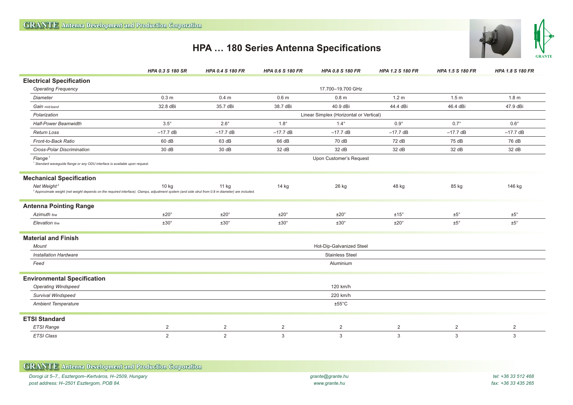Г



## **HPA … 180 Series Antenna Specifications**

|                                                                                                                                                                                         | HPA 0.3 S 180 SR                        | <b>HPA 0.4 S 180 FR</b> | <b>HPA 0.6 S 180 FR</b> | <b>HPA 0.8 S 180 FR</b> | <b>HPA 1.2 S 180 FR</b> | HPA 1.5 S 180 FR | <b>HPA 1.8 S 180 FR</b> |
|-----------------------------------------------------------------------------------------------------------------------------------------------------------------------------------------|-----------------------------------------|-------------------------|-------------------------|-------------------------|-------------------------|------------------|-------------------------|
| <b>Electrical Specification</b>                                                                                                                                                         |                                         |                         |                         |                         |                         |                  |                         |
| <b>Operating Frequency</b>                                                                                                                                                              | 17.700-19.700 GHz                       |                         |                         |                         |                         |                  |                         |
| <b>Diameter</b>                                                                                                                                                                         | 0.3 <sub>m</sub>                        | 0.4 <sub>m</sub>        | 0.6 <sub>m</sub>        | 0.8 <sub>m</sub>        | 1.2 <sub>m</sub>        | 1.5 <sub>m</sub> | 1.8 <sub>m</sub>        |
| Gain mid-band                                                                                                                                                                           | 32.8 dBi                                | 35.7 dBi                | 38.7 dBi                | 40.9 dBi                | 44.4 dBi                | 46.4 dBi         | 47.9 dBi                |
| Polarization                                                                                                                                                                            | Linear Simplex (Horizontal or Vertical) |                         |                         |                         |                         |                  |                         |
| <b>Half-Power Beamwidth</b>                                                                                                                                                             | $3.5^\circ$                             | $2.6^\circ$             | $1.8^\circ$             | $1.4^\circ$             | $0.9^\circ$             | $0.7^\circ$      | $0.6^\circ$             |
| <b>Return Loss</b>                                                                                                                                                                      | $-17.7$ dB                              | $-17.7$ dB              | $-17.7$ dB              | $-17.7$ dB              | $-17.7$ dB              | $-17.7$ dB       | $-17.7$ dB              |
| Front-to-Back Ratio                                                                                                                                                                     | 60 dB                                   | 63 dB                   | 66 dB                   | 70 dB                   | 72 dB                   | 75 dB            | 76 dB                   |
| Cross-Polar Discrimination                                                                                                                                                              | 30 dB                                   | 30 dB                   | 32 dB                   | 32 dB                   | 32 dB                   | 32 dB            | 32 dB                   |
| Flange <sup>1</sup><br><sup>1</sup> Standard waveguide flange or any ODU interface is available upon request.                                                                           | Upon Customer's Request                 |                         |                         |                         |                         |                  |                         |
| <b>Mechanical Specification</b>                                                                                                                                                         |                                         |                         |                         |                         |                         |                  |                         |
| Net Weight <sup>2</sup><br><sup>2</sup> Approximate weight (net weight depends on the required interface). Clamps, adjustment system (and side strut from 0.8 m diameter) are included. | $10$ kg                                 | 11 kg                   | 14 kg                   | 26 kg                   | 48 kg                   | 85 kg            | 146 kg                  |
| <b>Antenna Pointing Range</b>                                                                                                                                                           |                                         |                         |                         |                         |                         |                  |                         |
| Azimuth fine                                                                                                                                                                            | ±20°                                    | $±20^{\circ}$           | $±20^{\circ}$           | ±20°                    | ±15°                    | ±5°              | $\pm 5^\circ$           |
| Elevation fine                                                                                                                                                                          | $±30^{\circ}$                           | ±30°                    | ±30°                    | $±30^{\circ}$           | $±20^{\circ}$           | $±5^\circ$       | ±5°                     |
| <b>Material and Finish</b>                                                                                                                                                              |                                         |                         |                         |                         |                         |                  |                         |
| <b>Mount</b>                                                                                                                                                                            | Hot-Dip-Galvanized Steel                |                         |                         |                         |                         |                  |                         |
| <b>Installation Hardware</b>                                                                                                                                                            | <b>Stainless Steel</b>                  |                         |                         |                         |                         |                  |                         |
| Feed                                                                                                                                                                                    | Aluminium                               |                         |                         |                         |                         |                  |                         |
| <b>Environmental Specification</b>                                                                                                                                                      |                                         |                         |                         |                         |                         |                  |                         |
| <b>Operating Windspeed</b>                                                                                                                                                              | 120 km/h                                |                         |                         |                         |                         |                  |                         |
| Survival Windspeed                                                                                                                                                                      | 220 km/h                                |                         |                         |                         |                         |                  |                         |
| <b>Ambient Temperature</b>                                                                                                                                                              | $±55^{\circ}$ C                         |                         |                         |                         |                         |                  |                         |
| <b>ETSI Standard</b>                                                                                                                                                                    |                                         |                         |                         |                         |                         |                  |                         |
| <b>ETSI Range</b>                                                                                                                                                                       | $\overline{2}$                          | $\overline{2}$          | $\overline{2}$          | $\overline{2}$          | $\overline{2}$          | 2                | $\overline{2}$          |
| <b>ETSI Class</b>                                                                                                                                                                       | 2                                       | $\overline{2}$          | $\mathbf{3}$            | $\mathbf{3}$            | 3                       | 3                | 3                       |

| <b>GRANTE</b> Antenna Development and Production Corporation |                  |                     |
|--------------------------------------------------------------|------------------|---------------------|
| Dorogi út 5–7., Esztergom–Kertváros, H–2509, Hungary         | grante@grante.hu | tel: +36 33 512 468 |
| post address: H–2501 Esztergom, POB 84.                      | www.grante.hu    | fax: +36 33 435 265 |